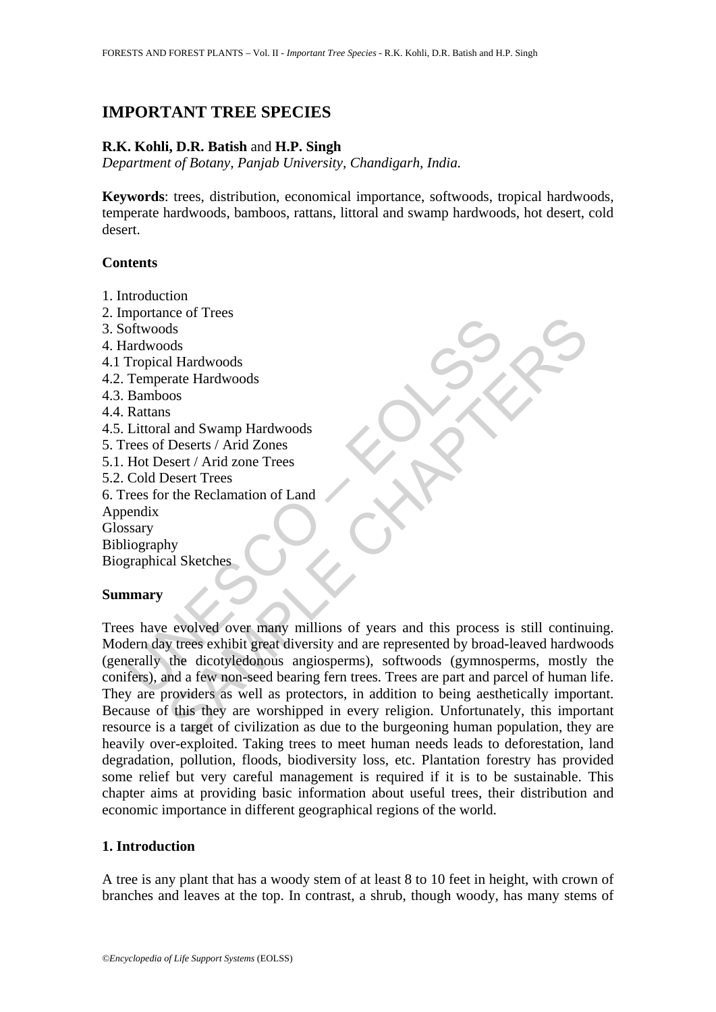# **IMPORTANT TREE SPECIES**

### **R.K. Kohli, D.R. Batish** and **H.P. Singh**

*Department of Botany, Panjab University, Chandigarh, India.* 

**Keywords**: trees, distribution, economical importance, softwoods, tropical hardwoods, temperate hardwoods, bamboos, rattans, littoral and swamp hardwoods, hot desert, cold desert.

### **Contents**

- 1. Introduction
- 2. Importance of Trees
- 3. Softwoods
- 4. Hardwoods
- 4.1 Tropical Hardwoods
- 4.2. Temperate Hardwoods
- 4.3. Bamboos
- 4.4. Rattans
- 4.5. Littoral and Swamp Hardwoods
- 5. Trees of Deserts / Arid Zones
- 5.1. Hot Desert / Arid zone Trees
- 5.2. Cold Desert Trees
- 6. Trees for the Reclamation of Land
- Appendix
- Glossary

Bibliography

Biographical Sketches

### **Summary**

Fropical Hardwoods<br>
Inchinese of Trees<br>
Inchoods<br>
Tropical Hardwoods<br>
Temperate Hardwoods<br>
Rattans<br>
Littoral and Swamp Hardwoods<br>
Rattans<br>
Littoral and Swamp Hardwoods<br>
Rattans<br>
Littoral and Swamp Hardwoods<br>
Hot Desert / A Note that the discriments are all and Swamp Hardwoods<br>
as<br>
as<br>
S<br>
S<br>
S<br>
S<br>
S<br>
Deserts / Arid Zones<br>
S<br>
Deserts / Arid Zones<br>
S<br>
Deserts / Arid Zones<br>
S<br>
Desert Trees<br>
New the Reclamation of Land<br>
Ay<br>
hy<br>
My<br>
My<br>
al Sketche Trees have evolved over many millions of years and this process is still continuing. Modern day trees exhibit great diversity and are represented by broad-leaved hardwoods (generally the dicotyledonous angiosperms), softwoods (gymnosperms, mostly the conifers), and a few non-seed bearing fern trees. Trees are part and parcel of human life. They are providers as well as protectors, in addition to being aesthetically important. Because of this they are worshipped in every religion. Unfortunately, this important resource is a target of civilization as due to the burgeoning human population, they are heavily over-exploited. Taking trees to meet human needs leads to deforestation, land degradation, pollution, floods, biodiversity loss, etc. Plantation forestry has provided some relief but very careful management is required if it is to be sustainable. This chapter aims at providing basic information about useful trees, their distribution and economic importance in different geographical regions of the world.

## **1. Introduction**

A tree is any plant that has a woody stem of at least 8 to 10 feet in height, with crown of branches and leaves at the top. In contrast, a shrub, though woody, has many stems of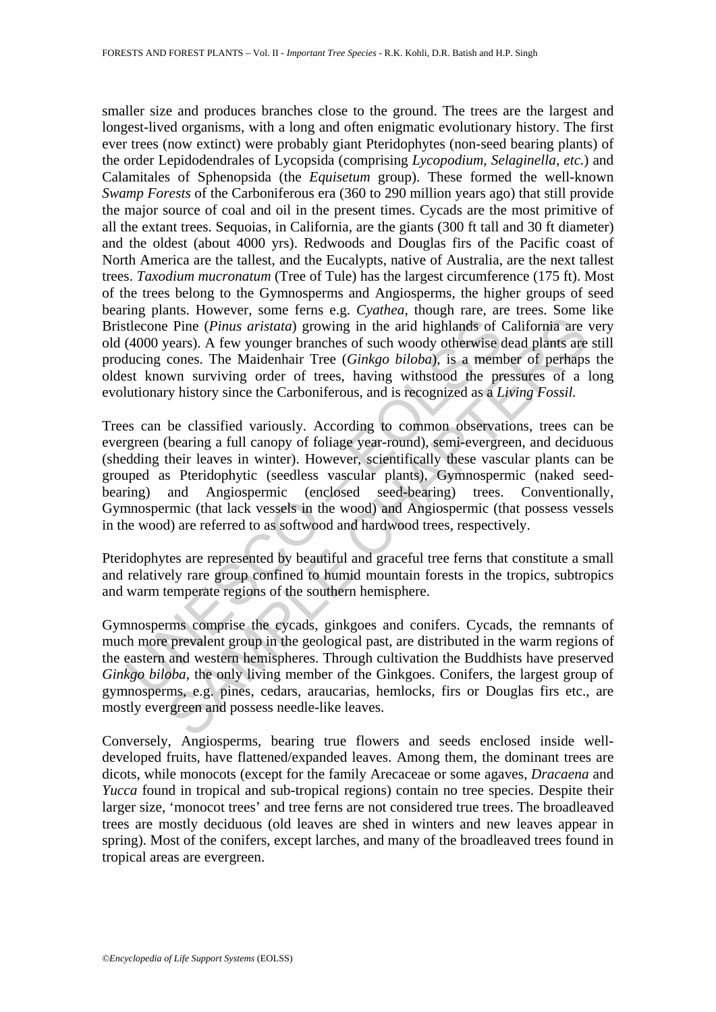smaller size and produces branches close to the ground. The trees are the largest and longest-lived organisms, with a long and often enigmatic evolutionary history. The first ever trees (now extinct) were probably giant Pteridophytes (non-seed bearing plants) of the order Lepidodendrales of Lycopsida (comprising *Lycopodium, Selaginella, etc.*) and Calamitales of Sphenopsida (the *Equisetum* group). These formed the well-known *Swamp Forests* of the Carboniferous era (360 to 290 million years ago) that still provide the major source of coal and oil in the present times. Cycads are the most primitive of all the extant trees. Sequoias, in California, are the giants (300 ft tall and 30 ft diameter) and the oldest (about 4000 yrs). Redwoods and Douglas firs of the Pacific coast of North America are the tallest, and the Eucalypts, native of Australia, are the next tallest trees. *Taxodium mucronatum* (Tree of Tule) has the largest circumference (175 ft). Most of the trees belong to the Gymnosperms and Angiosperms, the higher groups of seed bearing plants. However, some ferns e.g. *Cyathea,* though rare, are trees. Some like Bristlecone Pine (*Pinus aristata*) growing in the arid highlands of California are very old (4000 years). A few younger branches of such woody otherwise dead plants are still producing cones. The Maidenhair Tree (*Ginkgo biloba*), is a member of perhaps the oldest known surviving order of trees, having withstood the pressures of a long evolutionary history since the Carboniferous, and is recognized as a *Living Fossil.*

theone Pine (*Pinus aristata*) growing in the arid highlands of (4000 years). A few younger branches of such woody otherwise ducing cones. The Maidenhair Tree (*Ginkgo biloba*), is a member st known surviving order of tree E Pine (*Pinus aristata*) growing in the arid highlands of California are ecars). A few younger branches of such woody otherwise dead plants are conss. The Maidelnhar Tree (*Ginkgo bilobol*, is a member of perhapsive over Trees can be classified variously. According to common observations, trees can be evergreen (bearing a full canopy of foliage year-round), semi-evergreen, and deciduous (shedding their leaves in winter). However, scientifically these vascular plants can be grouped as Pteridophytic (seedless vascular plants), Gymnospermic (naked seedbearing) and Angiospermic (enclosed seed-bearing) trees. Conventionally, Gymnospermic (that lack vessels in the wood) and Angiospermic (that possess vessels in the wood) are referred to as softwood and hardwood trees, respectively.

Pteridophytes are represented by beautiful and graceful tree ferns that constitute a small and relatively rare group confined to humid mountain forests in the tropics, subtropics and warm temperate regions of the southern hemisphere.

Gymnosperms comprise the cycads, ginkgoes and conifers. Cycads, the remnants of much more prevalent group in the geological past, are distributed in the warm regions of the eastern and western hemispheres. Through cultivation the Buddhists have preserved *Ginkgo biloba*, the only living member of the Ginkgoes. Conifers, the largest group of gymnosperms, e.g. pines, cedars, araucarias, hemlocks, firs or Douglas firs etc., are mostly evergreen and possess needle-like leaves.

Conversely, Angiosperms, bearing true flowers and seeds enclosed inside welldeveloped fruits, have flattened/expanded leaves. Among them, the dominant trees are dicots, while monocots (except for the family Arecaceae or some agaves, *Dracaena* and *Yucca* found in tropical and sub-tropical regions) contain no tree species. Despite their larger size, 'monocot trees' and tree ferns are not considered true trees. The broadleaved trees are mostly deciduous (old leaves are shed in winters and new leaves appear in spring). Most of the conifers, except larches, and many of the broadleaved trees found in tropical areas are evergreen.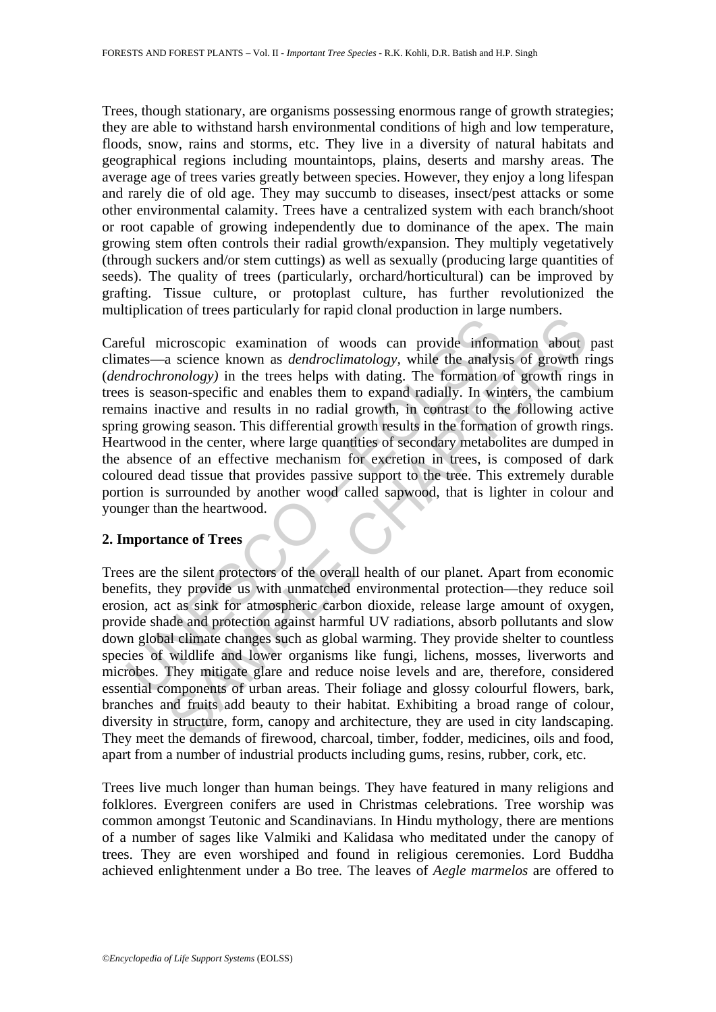Trees, though stationary, are organisms possessing enormous range of growth strategies; they are able to withstand harsh environmental conditions of high and low temperature, floods, snow, rains and storms, etc. They live in a diversity of natural habitats and geographical regions including mountaintops, plains, deserts and marshy areas. The average age of trees varies greatly between species. However, they enjoy a long lifespan and rarely die of old age. They may succumb to diseases, insect/pest attacks or some other environmental calamity. Trees have a centralized system with each branch/shoot or root capable of growing independently due to dominance of the apex. The main growing stem often controls their radial growth/expansion. They multiply vegetatively (through suckers and/or stem cuttings) as well as sexually (producing large quantities of seeds). The quality of trees (particularly, orchard/horticultural) can be improved by grafting. Tissue culture, or protoplast culture, has further revolutionized the multiplication of trees particularly for rapid clonal production in large numbers.

<sup>1</sup><br> **Example 12**<br> **Example 12**<br> **Example 12**<br> **Example 12**<br> **Example 12**<br> **Example 12**<br> **Example 12**<br> **Example 12**<br> **Example 12**<br> **Example 12**<br> **Example 12**<br> **Example 12**<br> **Example 12**<br> **Example 12**<br> **Example 12**<br> **Exampl** Example a science known as *dendroclimatelongly*, while the analyson and accelect schoom of a conce choronology) in the treas helps with dating. The formation of growth rigoson-specific and enables them to expand radialy. Careful microscopic examination of woods can provide information about past climates—a science known as *dendroclimatology,* while the analysis of growth rings (*dendrochronology)* in the trees helps with dating. The formation of growth rings in trees is season-specific and enables them to expand radially. In winters, the cambium remains inactive and results in no radial growth, in contrast to the following active spring growing season. This differential growth results in the formation of growth rings. Heartwood in the center, where large quantities of secondary metabolites are dumped in the absence of an effective mechanism for excretion in trees, is composed of dark coloured dead tissue that provides passive support to the tree. This extremely durable portion is surrounded by another wood called sapwood, that is lighter in colour and younger than the heartwood.

### **2. Importance of Trees**

Trees are the silent protectors of the overall health of our planet. Apart from economic benefits, they provide us with unmatched environmental protection—they reduce soil erosion, act as sink for atmospheric carbon dioxide, release large amount of oxygen, provide shade and protection against harmful UV radiations, absorb pollutants and slow down global climate changes such as global warming. They provide shelter to countless species of wildlife and lower organisms like fungi, lichens, mosses, liverworts and microbes. They mitigate glare and reduce noise levels and are, therefore, considered essential components of urban areas. Their foliage and glossy colourful flowers, bark, branches and fruits add beauty to their habitat. Exhibiting a broad range of colour, diversity in structure, form, canopy and architecture, they are used in city landscaping. They meet the demands of firewood, charcoal, timber, fodder, medicines, oils and food, apart from a number of industrial products including gums, resins, rubber, cork, etc.

Trees live much longer than human beings. They have featured in many religions and folklores. Evergreen conifers are used in Christmas celebrations. Tree worship was common amongst Teutonic and Scandinavians. In Hindu mythology, there are mentions of a number of sages like Valmiki and Kalidasa who meditated under the canopy of trees. They are even worshiped and found in religious ceremonies. Lord Buddha achieved enlightenment under a Bo tree*.* The leaves of *Aegle marmelos* are offered to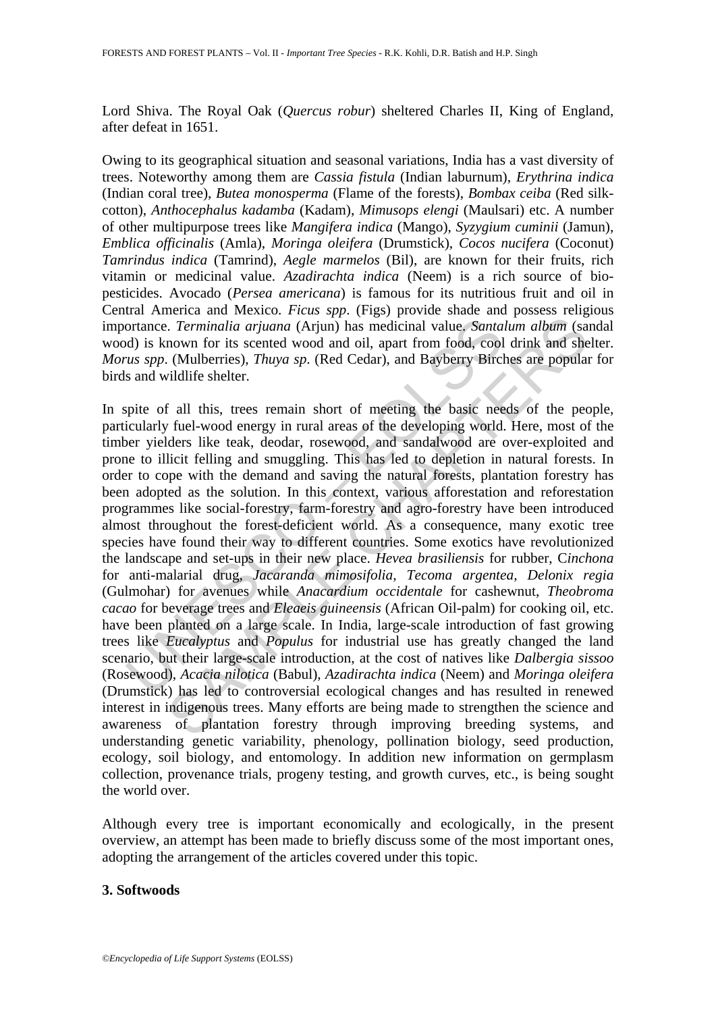Lord Shiva. The Royal Oak (*Quercus robur*) sheltered Charles II, King of England, after defeat in 1651.

Owing to its geographical situation and seasonal variations, India has a vast diversity of trees. Noteworthy among them are *Cassia fistula* (Indian laburnum), *Erythrina indica*  (Indian coral tree), *Butea monosperma* (Flame of the forests), *Bombax ceiba* (Red silkcotton), *Anthocephalus kadamba* (Kadam), *Mimusops elengi* (Maulsari) etc. A number of other multipurpose trees like *Mangifera indica* (Mango), *Syzygium cuminii* (Jamun), *Emblica officinalis* (Amla), *Moringa oleifera* (Drumstick), *Cocos nucifera* (Coconut) *Tamrindus indica* (Tamrind), *Aegle marmelos* (Bil), are known for their fruits, rich vitamin or medicinal value. *Azadirachta indica* (Neem) is a rich source of biopesticides. Avocado (*Persea americana*) is famous for its nutritious fruit and oil in Central America and Mexico. *Ficus spp*. (Figs) provide shade and possess religious importance. *Terminalia arjuana* (Arjun) has medicinal value. *Santalum album* (sandal wood) is known for its scented wood and oil, apart from food, cool drink and shelter. *Morus spp*. (Mulberries), *Thuya sp*. (Red Cedar), and Bayberry Birches are popular for birds and wildlife shelter.

ortance. *Terminalia arjuana* (Arjun) has medicinal value. *Santa*<br>d) is known for its scented wood and oil, apart from food, cool<br>*us spp.* (Mulberries), *Thuya sp.* (Red Cedar), and Bayberry Bircl<br>s and wildlife shelter 1. *Ferminalia arijuana* (Arjun) has medicinal value *Santalum album* (sample). *Ferminalia arijuana* (Arjun) has medicinal value *Santalum album* (samown for its scented wood and oil, apart from food, cool drink and she In spite of all this, trees remain short of meeting the basic needs of the people, particularly fuel-wood energy in rural areas of the developing world. Here, most of the timber yielders like teak, deodar, rosewood, and sandalwood are over-exploited and prone to illicit felling and smuggling. This has led to depletion in natural forests. In order to cope with the demand and saving the natural forests, plantation forestry has been adopted as the solution. In this context, various afforestation and reforestation programmes like social-forestry, farm-forestry and agro-forestry have been introduced almost throughout the forest-deficient world. As a consequence, many exotic tree species have found their way to different countries. Some exotics have revolutionized the landscape and set-ups in their new place. *Hevea brasiliensis* for rubber, C*inchona*  for anti-malarial drug, *Jacaranda mimosifolia, Tecoma argentea, Delonix regia*  (Gulmohar) for avenues while *Anacardium occidentale* for cashewnut, *Theobroma cacao* for beverage trees and *Eleaeis guineensis* (African Oil-palm) for cooking oil, etc. have been planted on a large scale. In India, large-scale introduction of fast growing trees like *Eucalyptus* and *Populus* for industrial use has greatly changed the land scenario, but their large-scale introduction, at the cost of natives like *Dalbergia sissoo* (Rosewood), *Acacia nilotica* (Babul), *Azadirachta indica* (Neem) and *Moringa oleifera* (Drumstick) has led to controversial ecological changes and has resulted in renewed interest in indigenous trees. Many efforts are being made to strengthen the science and awareness of plantation forestry through improving breeding systems, and understanding genetic variability, phenology, pollination biology, seed production, ecology, soil biology, and entomology. In addition new information on germplasm collection, provenance trials, progeny testing, and growth curves, etc., is being sought the world over.

Although every tree is important economically and ecologically, in the present overview, an attempt has been made to briefly discuss some of the most important ones, adopting the arrangement of the articles covered under this topic.

### **3. Softwoods**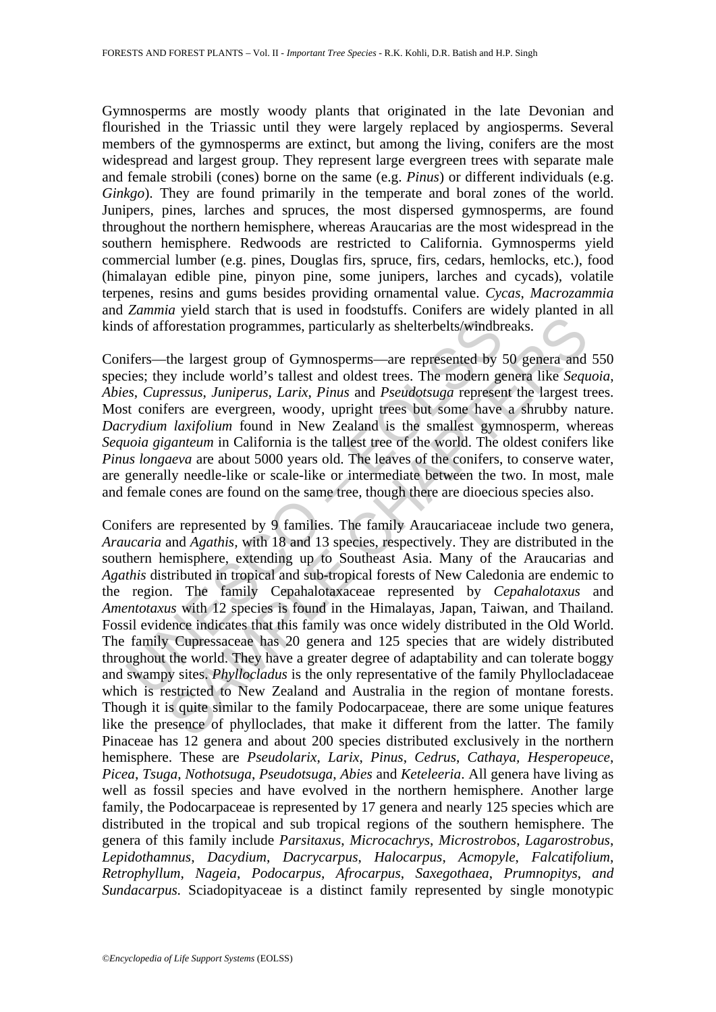Gymnosperms are mostly woody plants that originated in the late Devonian and flourished in the Triassic until they were largely replaced by angiosperms. Several members of the gymnosperms are extinct, but among the living, conifers are the most widespread and largest group. They represent large evergreen trees with separate male and female strobili (cones) borne on the same (e.g. *Pinus*) or different individuals (e.g. *Ginkgo*). They are found primarily in the temperate and boral zones of the world. Junipers, pines, larches and spruces, the most dispersed gymnosperms, are found throughout the northern hemisphere, whereas Araucarias are the most widespread in the southern hemisphere. Redwoods are restricted to California. Gymnosperms yield commercial lumber (e.g. pines, Douglas firs, spruce, firs, cedars, hemlocks, etc.), food (himalayan edible pine, pinyon pine, some junipers, larches and cycads), volatile terpenes, resins and gums besides providing ornamental value. *Cycas*, *Macrozammia*  and *Zammia* yield starch that is used in foodstuffs. Conifers are widely planted in all kinds of afforestation programmes, particularly as shelterbelts/windbreaks.

Conifers—the largest group of Gymnosperms—are represented by 50 genera and 550 species; they include world's tallest and oldest trees. The modern genera like *Sequoia*, *Abies*, *Cupressus*, *Juniperus*, *Larix*, *Pinus* and *Pseudotsuga* represent the largest trees. Most conifers are evergreen, woody, upright trees but some have a shrubby nature. *Dacrydium laxifolium* found in New Zealand is the smallest gymnosperm, whereas *Sequoia giganteum* in California is the tallest tree of the world. The oldest conifers like *Pinus longaeva* are about 5000 years old. The leaves of the conifers, to conserve water, are generally needle-like or scale-like or intermediate between the two. In most, male and female cones are found on the same tree, though there are dioecious species also.

Is of afforestation programmes, particularly as shelterbelts/windbr<br>ifers—the largest group of Gymnosperms—are represented by :<br>ies; they include world's tallest and oldest trees. The modern ges,<br>c. Cupressus, Juniperus, L forestation programmes, particularly as shelterbelts/windbreaks.<br>
the largest group of Gymnosperms—are represented by 50 genera and<br>
ey include world's tallest and oldest trees. The modern genera like *Sequencesus, Juniper* Conifers are represented by 9 families. The family Araucariaceae include two genera, *Araucaria* and *Agathis,* with 18 and 13 species, respectively. They are distributed in the southern hemisphere, extending up to Southeast Asia. Many of the Araucarias and *Agathis* distributed in tropical and sub-tropical forests of New Caledonia are endemic to the region. The family Cepahalotaxaceae represented by *Cepahalotaxus* and *Amentotaxus* with 12 species is found in the Himalayas, Japan, Taiwan, and Thailand. Fossil evidence indicates that this family was once widely distributed in the Old World. The family Cupressaceae has 20 genera and 125 species that are widely distributed throughout the world. They have a greater degree of adaptability and can tolerate boggy and swampy sites. *Phyllocladus* is the only representative of the family Phyllocladaceae which is restricted to New Zealand and Australia in the region of montane forests. Though it is quite similar to the family Podocarpaceae, there are some unique features like the presence of phylloclades, that make it different from the latter. The family Pinaceae has 12 genera and about 200 species distributed exclusively in the northern hemisphere. These are *Pseudolarix*, *Larix*, *Pinus*, *Cedrus*, *Cathaya, Hesperopeuce*, *Picea*, *Tsuga*, *Nothotsuga*, *Pseudotsuga*, *Abies* and *Keteleeria*. All genera have living as well as fossil species and have evolved in the northern hemisphere. Another large family, the Podocarpaceae is represented by 17 genera and nearly 125 species which are distributed in the tropical and sub tropical regions of the southern hemisphere. The genera of this family include *Parsitaxus*, *Microcachrys*, *Microstrobos*, *Lagarostrobus*, *Lepidothamnus*, *Dacydium*, *Dacrycarpus*, *Halocarpus*, *Acmopyle*, *Falcatifolium*, *Retrophyllum*, *Nageia*, *Podocarpus*, *Afrocarpus*, *Saxegothaea*, *Prumnopitys*, *and Sundacarpus.* Sciadopityaceae is a distinct family represented by single monotypic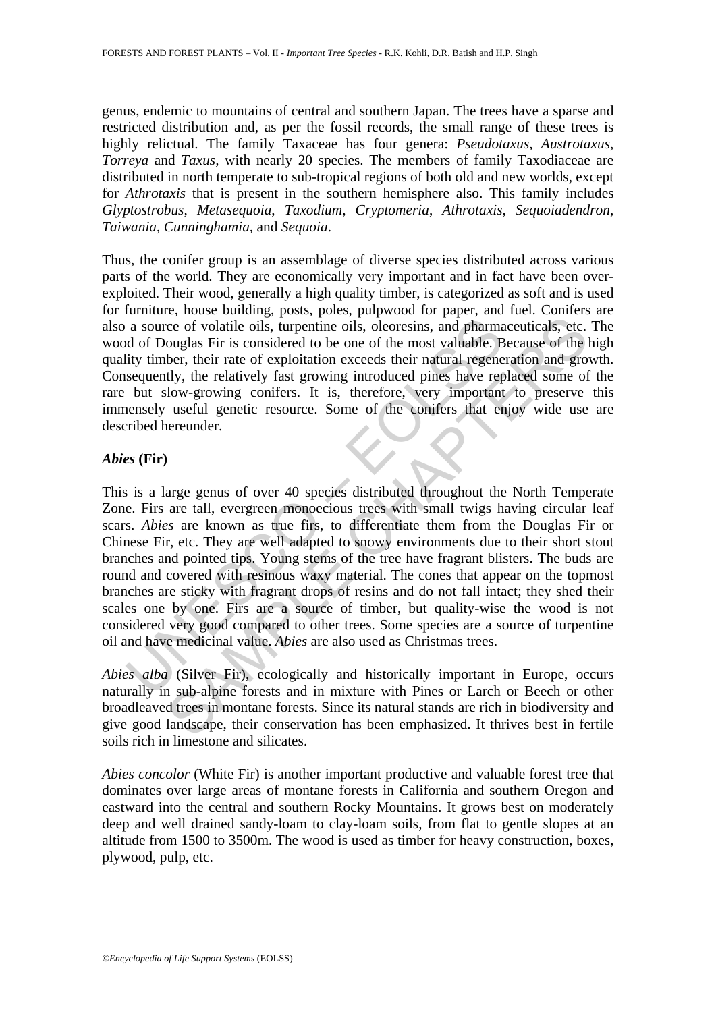genus, endemic to mountains of central and southern Japan. The trees have a sparse and restricted distribution and, as per the fossil records, the small range of these trees is highly relictual. The family Taxaceae has four genera: *Pseudotaxus*, *Austrotaxus*, *Torreya* and *Taxus,* with nearly 20 species. The members of family Taxodiaceae are distributed in north temperate to sub-tropical regions of both old and new worlds, except for *Athrotaxis* that is present in the southern hemisphere also. This family includes *Glyptostrobus*, *Metasequoia*, *Taxodium*, *Cryptomeria*, *Athrotaxis*, *Sequoiadendron*, *Taiwania*, *Cunninghamia,* and *Sequoia*.

Thus, the conifer group is an assemblage of diverse species distributed across various parts of the world. They are economically very important and in fact have been overexploited. Their wood, generally a high quality timber, is categorized as soft and is used for furniture, house building, posts, poles, pulpwood for paper, and fuel. Conifers are also a source of volatile oils, turpentine oils, oleoresins, and pharmaceuticals, etc. The wood of Douglas Fir is considered to be one of the most valuable. Because of the high quality timber, their rate of exploitation exceeds their natural regeneration and growth. Consequently, the relatively fast growing introduced pines have replaced some of the rare but slow-growing conifers. It is, therefore, very important to preserve this immensely useful genetic resource. Some of the conifers that enjoy wide use are described hereunder.

### *Abies* **(Fir)**

a source of volatile oils, turpentine oils, oleoresins, and pharma<br>d of Douglas Fir is considered to be one of the most valuable. B<br>ity timber, their rate of exploitation exceeds their natural regene<br>sequently, the relati Considered by the consist of the most valuable. Because of volatile oils, turpentine oils, oleoresins, and pharmaceuticals, etc. couglas Fir is considered to be one of the most valuable. Because of the let, their rate of e This is a large genus of over 40 species distributed throughout the North Temperate Zone. Firs are tall, evergreen monoecious trees with small twigs having circular leaf scars. *Abies* are known as true firs, to differentiate them from the Douglas Fir or Chinese Fir, etc. They are well adapted to snowy environments due to their short stout branches and pointed tips. Young stems of the tree have fragrant blisters. The buds are round and covered with resinous waxy material. The cones that appear on the topmost branches are sticky with fragrant drops of resins and do not fall intact; they shed their scales one by one. Firs are a source of timber, but quality-wise the wood is not considered very good compared to other trees. Some species are a source of turpentine oil and have medicinal value. *Abies* are also used as Christmas trees.

*Abies alba* (Silver Fir), ecologically and historically important in Europe, occurs naturally in sub-alpine forests and in mixture with Pines or Larch or Beech or other broadleaved trees in montane forests. Since its natural stands are rich in biodiversity and give good landscape, their conservation has been emphasized. It thrives best in fertile soils rich in limestone and silicates.

*Abies concolor* (White Fir) is another important productive and valuable forest tree that dominates over large areas of montane forests in California and southern Oregon and eastward into the central and southern Rocky Mountains. It grows best on moderately deep and well drained sandy-loam to clay-loam soils, from flat to gentle slopes at an altitude from 1500 to 3500m. The wood is used as timber for heavy construction, boxes, plywood, pulp, etc.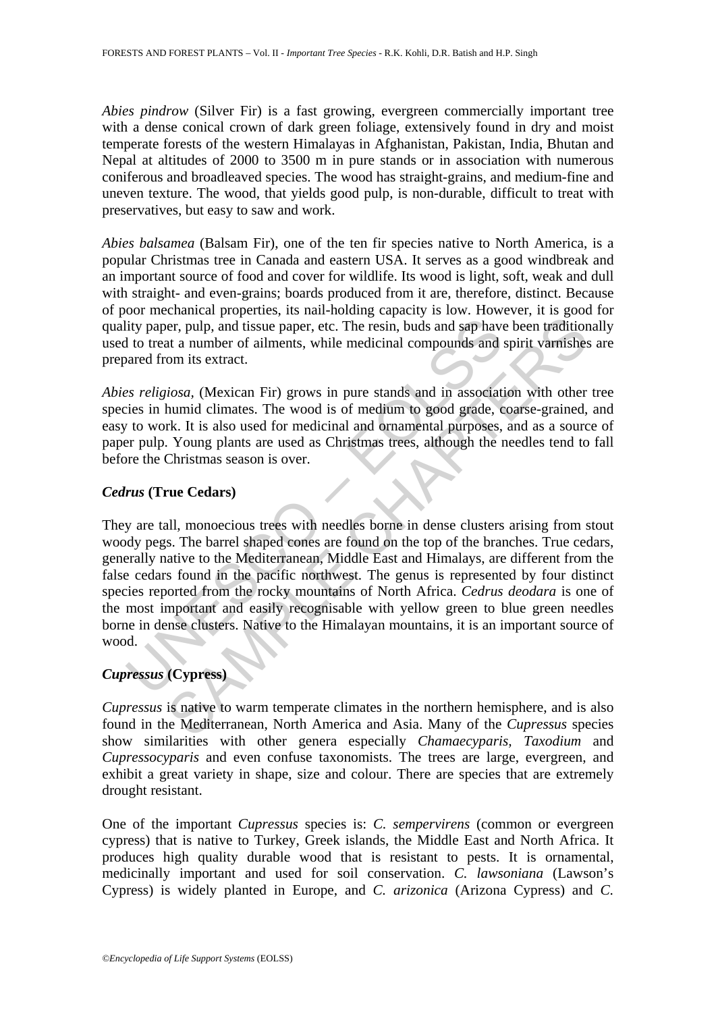*Abies pindrow* (Silver Fir) is a fast growing, evergreen commercially important tree with a dense conical crown of dark green foliage, extensively found in dry and moist temperate forests of the western Himalayas in Afghanistan, Pakistan, India, Bhutan and Nepal at altitudes of 2000 to 3500 m in pure stands or in association with numerous coniferous and broadleaved species. The wood has straight-grains, and medium-fine and uneven texture. The wood, that yields good pulp, is non-durable, difficult to treat with preservatives, but easy to saw and work.

*Abies balsamea* (Balsam Fir), one of the ten fir species native to North America, is a popular Christmas tree in Canada and eastern USA. It serves as a good windbreak and an important source of food and cover for wildlife. Its wood is light, soft, weak and dull with straight- and even-grains; boards produced from it are, therefore, distinct. Because of poor mechanical properties, its nail-holding capacity is low. However, it is good for quality paper, pulp, and tissue paper, etc. The resin, buds and sap have been traditionally used to treat a number of ailments, while medicinal compounds and spirit varnishes are prepared from its extract.

*Abies religiosa,* (Mexican Fir) grows in pure stands and in association with other tree species in humid climates. The wood is of medium to good grade, coarse-grained, and easy to work. It is also used for medicinal and ornamental purposes, and as a source of paper pulp. Young plants are used as Christmas trees, although the needles tend to fall before the Christmas season is over.

## *Cedrus* **(True Cedars)**

lity paper, pulp, and tissue paper, etc. The resin, buds and sap have<br>to treat a number of ailments, while medicinal compounds and<br>to treat a number of ailments, while medicinal compounds and<br>axared from its extract.<br>es *r* Fire pulp, and issue paper, etc. The resin, buds and sap have been tradition<br>at a number of ailments, while medicinal compounds and spirit varnishes<br>om its extract.<br>It a number of ailments, while medicinal compounds and sp They are tall, monoecious trees with needles borne in dense clusters arising from stout woody pegs. The barrel shaped cones are found on the top of the branches. True cedars, generally native to the Mediterranean, Middle East and Himalays, are different from the false cedars found in the pacific northwest. The genus is represented by four distinct species reported from the rocky mountains of North Africa. *Cedrus deodara* is one of the most important and easily recognisable with yellow green to blue green needles borne in dense clusters. Native to the Himalayan mountains, it is an important source of wood.

# *Cupressus* **(Cypress)**

*Cupressus* is native to warm temperate climates in the northern hemisphere, and is also found in the Mediterranean, North America and Asia. Many of the *Cupressus* species show similarities with other genera especially *Chamaecyparis, Taxodium* and *Cupressocyparis* and even confuse taxonomists. The trees are large, evergreen, and exhibit a great variety in shape, size and colour. There are species that are extremely drought resistant.

One of the important *Cupressus* species is: *C. sempervirens* (common or evergreen cypress) that is native to Turkey, Greek islands, the Middle East and North Africa. It produces high quality durable wood that is resistant to pests. It is ornamental, medicinally important and used for soil conservation. *C. lawsoniana* (Lawson's Cypress) is widely planted in Europe, and *C. arizonica* (Arizona Cypress) and *C.*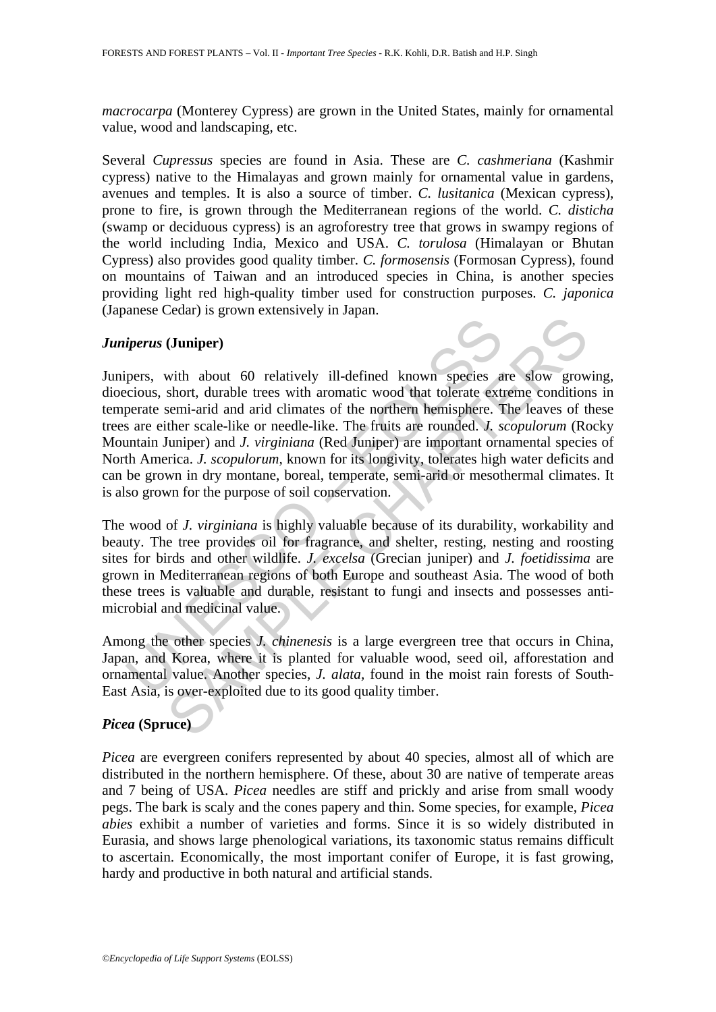*macrocarpa* (Monterey Cypress) are grown in the United States, mainly for ornamental value, wood and landscaping, etc.

Several *Cupressus* species are found in Asia. These are *C. cashmeriana* (Kashmir cypress) native to the Himalayas and grown mainly for ornamental value in gardens, avenues and temples. It is also a source of timber. *C. lusitanica* (Mexican cypress), prone to fire, is grown through the Mediterranean regions of the world. *C. disticha*  (swamp or deciduous cypress) is an agroforestry tree that grows in swampy regions of the world including India, Mexico and USA. *C. torulosa* (Himalayan or Bhutan Cypress) also provides good quality timber. *C. formosensis* (Formosan Cypress), found on mountains of Taiwan and an introduced species in China, is another species providing light red high-quality timber used for construction purposes. *C. japonica* (Japanese Cedar) is grown extensively in Japan.

### *Juniperus* **(Juniper)**

*iperus* (**Juniper**)<br>pers, with about 60 relatively ill-defined known species a<br>ccious, short, durable trees with aromatic wood that tolerate ext<br>perate semi-arid and arid climates of the northern hemisphere. T<br>sare eithe (**Juniper**) and 60 clairing in all-defined known species are slow growshort, durable trees with aromatic wood that tolerate extreme conditions emi-arid and arid climates of the northern hemisphere. The leaves of the funct Junipers, with about 60 relatively ill-defined known species are slow growing, dioecious, short, durable trees with aromatic wood that tolerate extreme conditions in temperate semi-arid and arid climates of the northern hemisphere. The leaves of these trees are either scale-like or needle-like. The fruits are rounded. *J. scopulorum* (Rocky Mountain Juniper) and *J. virginiana* (Red Juniper) are important ornamental species of North America. *J. scopulorum,* known for its longivity, tolerates high water deficits and can be grown in dry montane, boreal, temperate, semi-arid or mesothermal climates. It is also grown for the purpose of soil conservation.

The wood of *J. virginiana* is highly valuable because of its durability, workability and beauty. The tree provides oil for fragrance, and shelter, resting, nesting and roosting sites for birds and other wildlife. *J. excelsa* (Grecian juniper) and *J. foetidissima* are grown in Mediterranean regions of both Europe and southeast Asia. The wood of both these trees is valuable and durable, resistant to fungi and insects and possesses antimicrobial and medicinal value.

Among the other species *J. chinenesis* is a large evergreen tree that occurs in China, Japan, and Korea, where it is planted for valuable wood, seed oil, afforestation and ornamental value. Another species, *J. alata,* found in the moist rain forests of South-East Asia, is over-exploited due to its good quality timber.

## *Picea* **(Spruce)**

*Picea* are evergreen conifers represented by about 40 species, almost all of which are distributed in the northern hemisphere. Of these, about 30 are native of temperate areas and 7 being of USA. *Picea* needles are stiff and prickly and arise from small woody pegs. The bark is scaly and the cones papery and thin. Some species, for example, *Picea abies* exhibit a number of varieties and forms. Since it is so widely distributed in Eurasia, and shows large phenological variations, its taxonomic status remains difficult to ascertain. Economically, the most important conifer of Europe, it is fast growing, hardy and productive in both natural and artificial stands.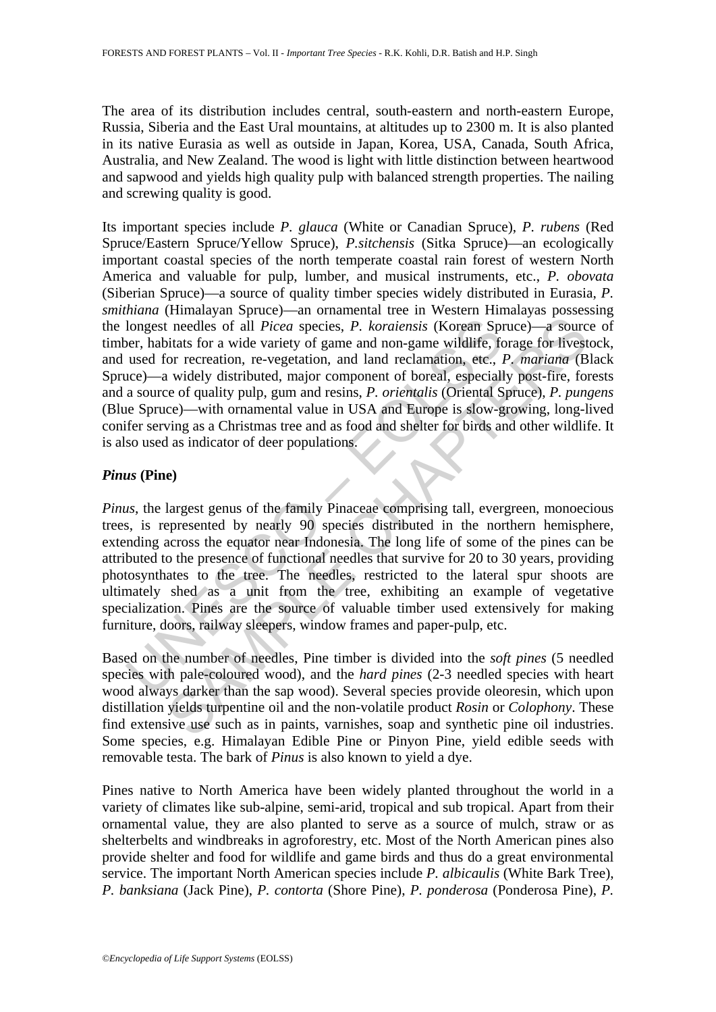The area of its distribution includes central, south-eastern and north-eastern Europe, Russia, Siberia and the East Ural mountains, at altitudes up to 2300 m. It is also planted in its native Eurasia as well as outside in Japan, Korea, USA, Canada, South Africa, Australia, and New Zealand. The wood is light with little distinction between heartwood and sapwood and yields high quality pulp with balanced strength properties. The nailing and screwing quality is good.

longest needles of all *Picea* species, *P. koraiensis* (Korean Sp<br>per, habitats for a wide variety of game and non-game wildlife, fc<br>used for recreation, re-vegetation, and land reclamation, etc., i<br>acc)—a widely distrib the meetiles of all *Picea* species, *P. koraiensis* (Koream Spruce)—a source threedles of all *Picea* species, *P. koraiensis* (Koream Spruce)—a source that is for a wide variety of game and non-game wildlife, forage for Its important species include *P. glauca* (White or Canadian Spruce), *P. rubens* (Red Spruce/Eastern Spruce/Yellow Spruce), *P.sitchensis* (Sitka Spruce)—an ecologically important coastal species of the north temperate coastal rain forest of western North America and valuable for pulp, lumber, and musical instruments, etc., *P. obovata*  (Siberian Spruce)—a source of quality timber species widely distributed in Eurasia, *P. smithiana* (Himalayan Spruce)—an ornamental tree in Western Himalayas possessing the longest needles of all *Picea* species, *P. koraiensis* (Korean Spruce)—a source of timber, habitats for a wide variety of game and non-game wildlife, forage for livestock, and used for recreation, re-vegetation, and land reclamation, etc., *P. mariana* (Black Spruce)—a widely distributed, major component of boreal, especially post-fire, forests and a source of quality pulp, gum and resins, *P. orientalis* (Oriental Spruce), *P. pungens* (Blue Spruce)—with ornamental value in USA and Europe is slow-growing, long-lived conifer serving as a Christmas tree and as food and shelter for birds and other wildlife. It is also used as indicator of deer populations.

## *Pinus* **(Pine)**

*Pinus*, the largest genus of the family Pinaceae comprising tall, evergreen, monoecious trees, is represented by nearly 90 species distributed in the northern hemisphere, extending across the equator near Indonesia. The long life of some of the pines can be attributed to the presence of functional needles that survive for 20 to 30 years, providing photosynthates to the tree. The needles, restricted to the lateral spur shoots are ultimately shed as a unit from the tree, exhibiting an example of vegetative specialization. Pines are the source of valuable timber used extensively for making furniture, doors, railway sleepers, window frames and paper-pulp, etc.

Based on the number of needles, Pine timber is divided into the *soft pines* (5 needled species with pale-coloured wood), and the *hard pines* (2-3 needled species with heart wood always darker than the sap wood). Several species provide oleoresin, which upon distillation yields turpentine oil and the non-volatile product *Rosin* or *Colophony*. These find extensive use such as in paints, varnishes, soap and synthetic pine oil industries. Some species, e.g. Himalayan Edible Pine or Pinyon Pine, yield edible seeds with removable testa. The bark of *Pinus* is also known to yield a dye.

Pines native to North America have been widely planted throughout the world in a variety of climates like sub-alpine, semi-arid, tropical and sub tropical. Apart from their ornamental value, they are also planted to serve as a source of mulch, straw or as shelterbelts and windbreaks in agroforestry, etc. Most of the North American pines also provide shelter and food for wildlife and game birds and thus do a great environmental service. The important North American species include *P. albicaulis* (White Bark Tree), *P. banksiana* (Jack Pine), *P. contorta* (Shore Pine), *P. ponderosa* (Ponderosa Pine), *P.*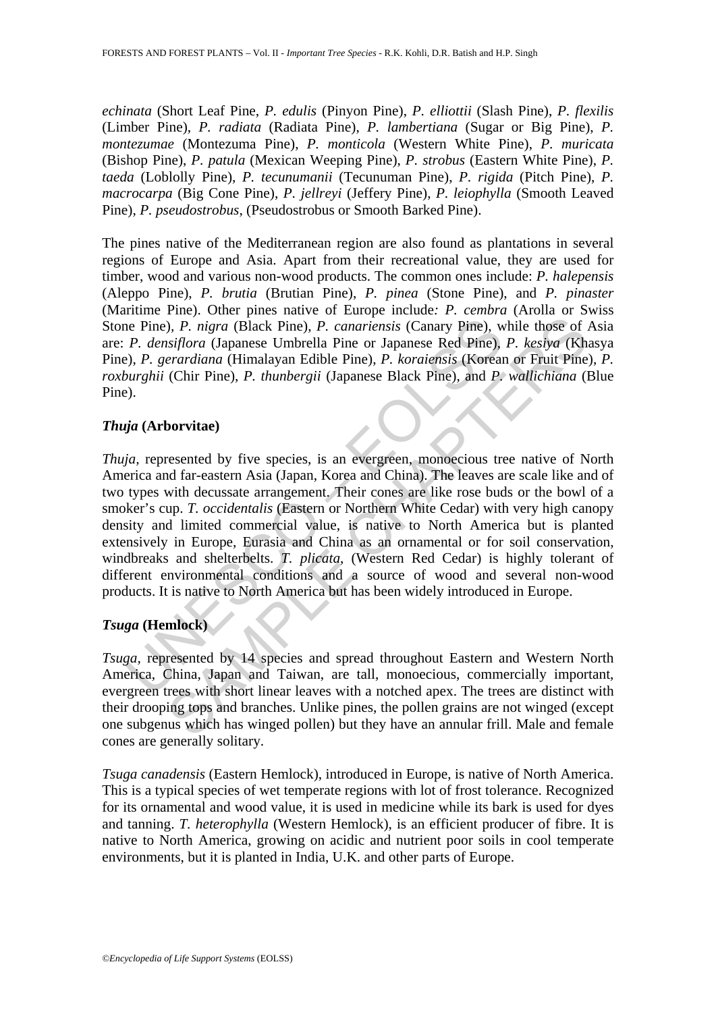*echinata* (Short Leaf Pine, *P. edulis* (Pinyon Pine), *P. elliottii* (Slash Pine), *P. flexilis* (Limber Pine), *P. radiata* (Radiata Pine), *P. lambertiana* (Sugar or Big Pine), *P. montezumae* (Montezuma Pine), *P. monticola* (Western White Pine), *P. muricata* (Bishop Pine), *P. patula* (Mexican Weeping Pine), *P. strobus* (Eastern White Pine), *P. taeda* (Loblolly Pine), *P. tecunumanii* (Tecunuman Pine), *P. rigida* (Pitch Pine), *P. macrocarpa* (Big Cone Pine), *P. jellreyi* (Jeffery Pine), *P. leiophylla* (Smooth Leaved Pine), *P. pseudostrobus*, (Pseudostrobus or Smooth Barked Pine).

The pines native of the Mediterranean region are also found as plantations in several regions of Europe and Asia. Apart from their recreational value, they are used for timber, wood and various non-wood products. The common ones include: *P. halepensis* (Aleppo Pine), *P. brutia* (Brutian Pine), *P. pinea* (Stone Pine), and *P. pinaster* (Maritime Pine). Other pines native of Europe include*: P. cembra* (Arolla or Swiss Stone Pine)*, P. nigra* (Black Pine), *P. canariensis* (Canary Pine), while those of Asia are: *P. densiflora* (Japanese Umbrella Pine or Japanese Red Pine), *P. kesiya* (Khasya Pine), *P. gerardiana* (Himalayan Edible Pine), *P. koraiensis* (Korean or Fruit Pine), *P. roxburghii* (Chir Pine), *P. thunbergii* (Japanese Black Pine), and *P. wallichiana* (Blue Pine).

# *Thuja* **(Arborvitae)**

ne Pine), *P. nigra* (Black Pine), *P. canariensis* (Canary Pine), w<br> *P. densiflora* (Japanese Umbrella Pine or Japanese Red Pine),<br> *P. densiflora* (Japanese Umbrella Pine or Japanese Red Pine),<br> *y.)*, *P. gerardiana* ( 3. P. Thigra (Black Pine), *P. canariensis* (Canary Pine), while those of *ssiflora* (Japanese Umbrella Pine or Japanese Red Pine), *P. kestya* (Kharardiana (Himalayan Edible Pine), *P. koraiensis* (Korean or Fruit Pine ( *Thuja,* represented by five species, is an evergreen, monoecious tree native of North America and far-eastern Asia (Japan, Korea and China). The leaves are scale like and of two types with decussate arrangement. Their cones are like rose buds or the bowl of a smoker's cup. *T. occidentalis* (Eastern or Northern White Cedar) with very high canopy density and limited commercial value, is native to North America but is planted extensively in Europe, Eurasia and China as an ornamental or for soil conservation, windbreaks and shelterbelts. *T. plicata*, (Western Red Cedar) is highly tolerant of different environmental conditions and a source of wood and several non-wood products. It is native to North America but has been widely introduced in Europe.

# *Tsuga* **(Hemlock)**

*Tsuga,* represented by 14 species and spread throughout Eastern and Western North America, China, Japan and Taiwan, are tall, monoecious, commercially important, evergreen trees with short linear leaves with a notched apex. The trees are distinct with their drooping tops and branches. Unlike pines, the pollen grains are not winged (except one subgenus which has winged pollen) but they have an annular frill. Male and female cones are generally solitary.

*Tsuga canadensis* (Eastern Hemlock), introduced in Europe, is native of North America. This is a typical species of wet temperate regions with lot of frost tolerance. Recognized for its ornamental and wood value, it is used in medicine while its bark is used for dyes and tanning. *T. heterophylla* (Western Hemlock), is an efficient producer of fibre. It is native to North America, growing on acidic and nutrient poor soils in cool temperate environments, but it is planted in India, U.K. and other parts of Europe.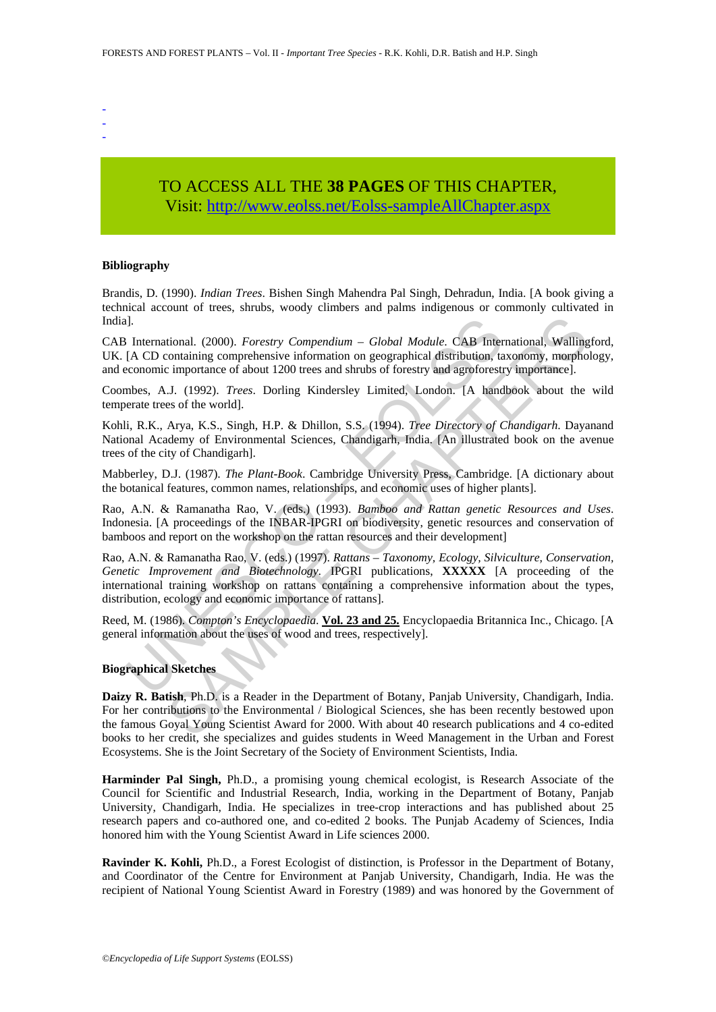- -
- -

# TO ACCESS ALL THE **38 PAGES** OF THIS CHAPTER, Visit[: http://www.eolss.net/Eolss-sampleAllChapter.aspx](https://www.eolss.net/ebooklib/sc_cart.aspx?File=E5-03-02)

#### **Bibliography**

Brandis, D. (1990). *Indian Trees*. Bishen Singh Mahendra Pal Singh, Dehradun, India. [A book giving a technical account of trees, shrubs, woody climbers and palms indigenous or commonly cultivated in India].

CAB International. (2000). *Forestry Compendium – Global Module*. CAB International, Wallingford, UK. [A CD containing comprehensive information on geographical distribution, taxonomy, morphology, and economic importance of about 1200 trees and shrubs of forestry and agroforestry importance].

Coombes, A.J. (1992). *Trees*. Dorling Kindersley Limited, London. [A handbook about the wild temperate trees of the world].

Kohli, R.K., Arya, K.S., Singh, H.P. & Dhillon, S.S. (1994). *Tree Directory of Chandigarh*. Dayanand National Academy of Environmental Sciences, Chandigarh, India. [An illustrated book on the avenue trees of the city of Chandigarh].

Mabberley, D.J. (1987). *The Plant-Book*. Cambridge University Press, Cambridge. [A dictionary about the botanical features, common names, relationships, and economic uses of higher plants].

Rao, A.N. & Ramanatha Rao, V. (eds.) (1993). *Bamboo and Rattan genetic Resources and Uses*. Indonesia. [A proceedings of the INBAR-IPGRI on biodiversity, genetic resources and conservation of bamboos and report on the workshop on the rattan resources and their development]

I, International. (2000). *Forestry Compendium* – *Global Module.* **CAB** International. (2000). *Forestry Compendium* – *Global Module.* **CAB** Internation (A CD containing comprehensive information on geographical distribu itional. (2000). *Forestry Compendium* – *Global Module.* CAB International, Walling-<br>containing comprehensive information on geographical distribution, taxonomy, morphoromore of about 1200 trees and shrubs of forestry and Rao, A.N. & Ramanatha Rao, V. (eds.) (1997). *Rattans – Taxonomy, Ecology, Silviculture, Conservation, Genetic Improvement and Biotechnology*. IPGRI publications, **XXXXX** [A proceeding of the international training workshop on rattans containing a comprehensive information about the types, distribution, ecology and economic importance of rattans].

Reed, M. (1986). *Compton's Encyclopaedia*. **Vol. 23 and 25.** Encyclopaedia Britannica Inc., Chicago. [A general information about the uses of wood and trees, respectively].

#### **Biographical Sketches**

**Daizy R. Batish**, Ph.D. is a Reader in the Department of Botany, Panjab University, Chandigarh, India. For her contributions to the Environmental / Biological Sciences, she has been recently bestowed upon the famous Goyal Young Scientist Award for 2000. With about 40 research publications and 4 co-edited books to her credit, she specializes and guides students in Weed Management in the Urban and Forest Ecosystems. She is the Joint Secretary of the Society of Environment Scientists, India.

**Harminder Pal Singh,** Ph.D., a promising young chemical ecologist, is Research Associate of the Council for Scientific and Industrial Research, India, working in the Department of Botany, Panjab University, Chandigarh, India. He specializes in tree-crop interactions and has published about 25 research papers and co-authored one, and co-edited 2 books. The Punjab Academy of Sciences, India honored him with the Young Scientist Award in Life sciences 2000.

**Ravinder K. Kohli,** Ph.D., a Forest Ecologist of distinction, is Professor in the Department of Botany, and Coordinator of the Centre for Environment at Panjab University, Chandigarh, India. He was the recipient of National Young Scientist Award in Forestry (1989) and was honored by the Government of